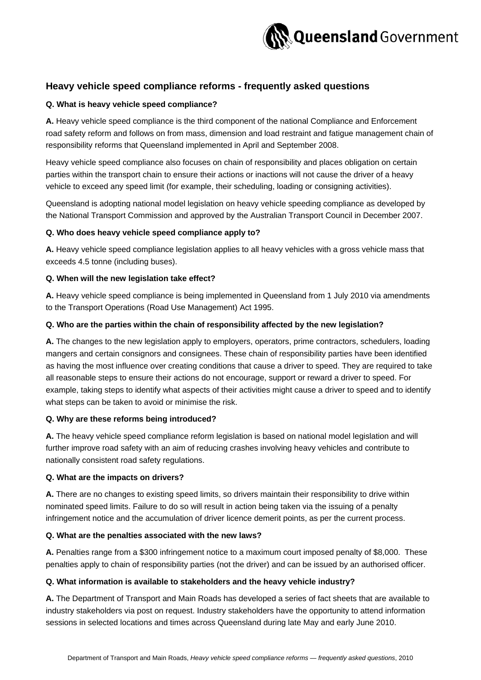

# **Heavy vehicle speed compliance reforms - frequently asked questions**

# **Q. What is heavy vehicle speed compliance?**

**A.** Heavy vehicle speed compliance is the third component of the national Compliance and Enforcement road safety reform and follows on from mass, dimension and load restraint and fatigue management chain of responsibility reforms that Queensland implemented in April and September 2008.

Heavy vehicle speed compliance also focuses on chain of responsibility and places obligation on certain parties within the transport chain to ensure their actions or inactions will not cause the driver of a heavy vehicle to exceed any speed limit (for example, their scheduling, loading or consigning activities).

Queensland is adopting national model legislation on heavy vehicle speeding compliance as developed by the National Transport Commission and approved by the Australian Transport Council in December 2007.

### **Q. Who does heavy vehicle speed compliance apply to?**

**A.** Heavy vehicle speed compliance legislation applies to all heavy vehicles with a gross vehicle mass that exceeds 4.5 tonne (including buses).

### **Q. When will the new legislation take effect?**

**A.** Heavy vehicle speed compliance is being implemented in Queensland from 1 July 2010 via amendments to the Transport Operations (Road Use Management) Act 1995.

# **Q. Who are the parties within the chain of responsibility affected by the new legislation?**

**A.** The changes to the new legislation apply to employers, operators, prime contractors, schedulers, loading mangers and certain consignors and consignees. These chain of responsibility parties have been identified as having the most influence over creating conditions that cause a driver to speed. They are required to take all reasonable steps to ensure their actions do not encourage, support or reward a driver to speed. For example, taking steps to identify what aspects of their activities might cause a driver to speed and to identify what steps can be taken to avoid or minimise the risk.

# **Q. Why are these reforms being introduced?**

**A.** The heavy vehicle speed compliance reform legislation is based on national model legislation and will further improve road safety with an aim of reducing crashes involving heavy vehicles and contribute to nationally consistent road safety regulations.

#### **Q. What are the impacts on drivers?**

**A.** There are no changes to existing speed limits, so drivers maintain their responsibility to drive within nominated speed limits. Failure to do so will result in action being taken via the issuing of a penalty infringement notice and the accumulation of driver licence demerit points, as per the current process.

# **Q. What are the penalties associated with the new laws?**

**A.** Penalties range from a \$300 infringement notice to a maximum court imposed penalty of \$8,000. These penalties apply to chain of responsibility parties (not the driver) and can be issued by an authorised officer.

# **Q. What information is available to stakeholders and the heavy vehicle industry?**

**A.** The Department of Transport and Main Roads has developed a series of fact sheets that are available to industry stakeholders via post on request. Industry stakeholders have the opportunity to attend information sessions in selected locations and times across Queensland during late May and early June 2010.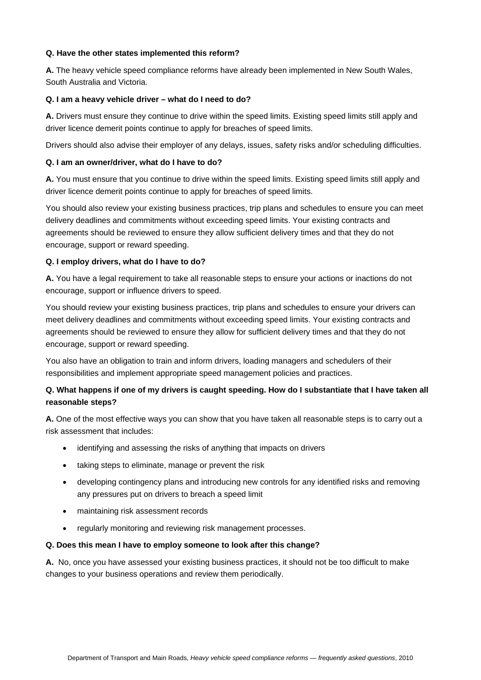# **Q. Have the other states implemented this reform?**

**A.** The heavy vehicle speed compliance reforms have already been implemented in New South Wales, South Australia and Victoria.

# **Q. I am a heavy vehicle driver – what do I need to do?**

**A.** Drivers must ensure they continue to drive within the speed limits. Existing speed limits still apply and driver licence demerit points continue to apply for breaches of speed limits.

Drivers should also advise their employer of any delays, issues, safety risks and/or scheduling difficulties.

# **Q. I am an owner/driver, what do I have to do?**

**A.** You must ensure that you continue to drive within the speed limits. Existing speed limits still apply and driver licence demerit points continue to apply for breaches of speed limits.

You should also review your existing business practices, trip plans and schedules to ensure you can meet delivery deadlines and commitments without exceeding speed limits. Your existing contracts and agreements should be reviewed to ensure they allow sufficient delivery times and that they do not encourage, support or reward speeding.

# **Q. I employ drivers, what do I have to do?**

**A.** You have a legal requirement to take all reasonable steps to ensure your actions or inactions do not encourage, support or influence drivers to speed.

You should review your existing business practices, trip plans and schedules to ensure your drivers can meet delivery deadlines and commitments without exceeding speed limits. Your existing contracts and agreements should be reviewed to ensure they allow for sufficient delivery times and that they do not encourage, support or reward speeding.

You also have an obligation to train and inform drivers, loading managers and schedulers of their responsibilities and implement appropriate speed management policies and practices.

# **Q. What happens if one of my drivers is caught speeding. How do I substantiate that I have taken all reasonable steps?**

**A.** One of the most effective ways you can show that you have taken all reasonable steps is to carry out a risk assessment that includes:

- identifying and assessing the risks of anything that impacts on drivers
- taking steps to eliminate, manage or prevent the risk
- developing contingency plans and introducing new controls for any identified risks and removing any pressures put on drivers to breach a speed limit
- maintaining risk assessment records
- regularly monitoring and reviewing risk management processes.

# **Q. Does this mean I have to employ someone to look after this change?**

**A.** No, once you have assessed your existing business practices, it should not be too difficult to make changes to your business operations and review them periodically.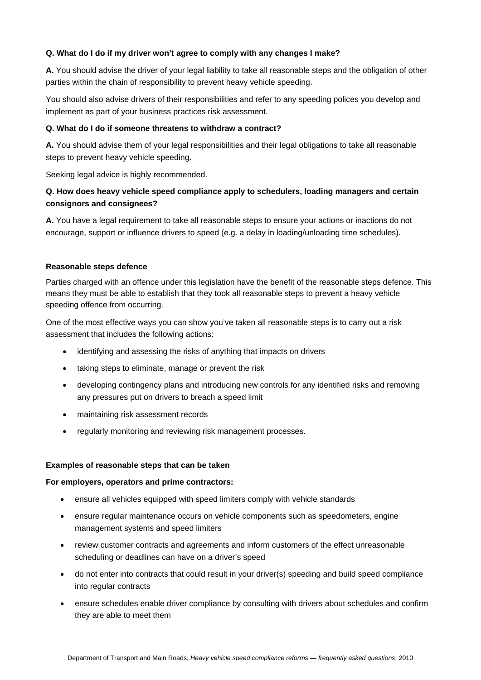# **Q. What do I do if my driver won't agree to comply with any changes I make?**

**A.** You should advise the driver of your legal liability to take all reasonable steps and the obligation of other parties within the chain of responsibility to prevent heavy vehicle speeding.

You should also advise drivers of their responsibilities and refer to any speeding polices you develop and implement as part of your business practices risk assessment.

# **Q. What do I do if someone threatens to withdraw a contract?**

**A.** You should advise them of your legal responsibilities and their legal obligations to take all reasonable steps to prevent heavy vehicle speeding.

Seeking legal advice is highly recommended.

# **Q. How does heavy vehicle speed compliance apply to schedulers, loading managers and certain consignors and consignees?**

**A.** You have a legal requirement to take all reasonable steps to ensure your actions or inactions do not encourage, support or influence drivers to speed (e.g. a delay in loading/unloading time schedules).

### **Reasonable steps defence**

Parties charged with an offence under this legislation have the benefit of the reasonable steps defence. This means they must be able to establish that they took all reasonable steps to prevent a heavy vehicle speeding offence from occurring.

One of the most effective ways you can show you've taken all reasonable steps is to carry out a risk assessment that includes the following actions:

- identifying and assessing the risks of anything that impacts on drivers
- taking steps to eliminate, manage or prevent the risk
- developing contingency plans and introducing new controls for any identified risks and removing any pressures put on drivers to breach a speed limit
- maintaining risk assessment records
- regularly monitoring and reviewing risk management processes.

# **Examples of reasonable steps that can be taken**

#### **For employers, operators and prime contractors:**

- ensure all vehicles equipped with speed limiters comply with vehicle standards
- ensure regular maintenance occurs on vehicle components such as speedometers, engine management systems and speed limiters
- review customer contracts and agreements and inform customers of the effect unreasonable scheduling or deadlines can have on a driver's speed
- do not enter into contracts that could result in your driver(s) speeding and build speed compliance into regular contracts
- ensure schedules enable driver compliance by consulting with drivers about schedules and confirm they are able to meet them